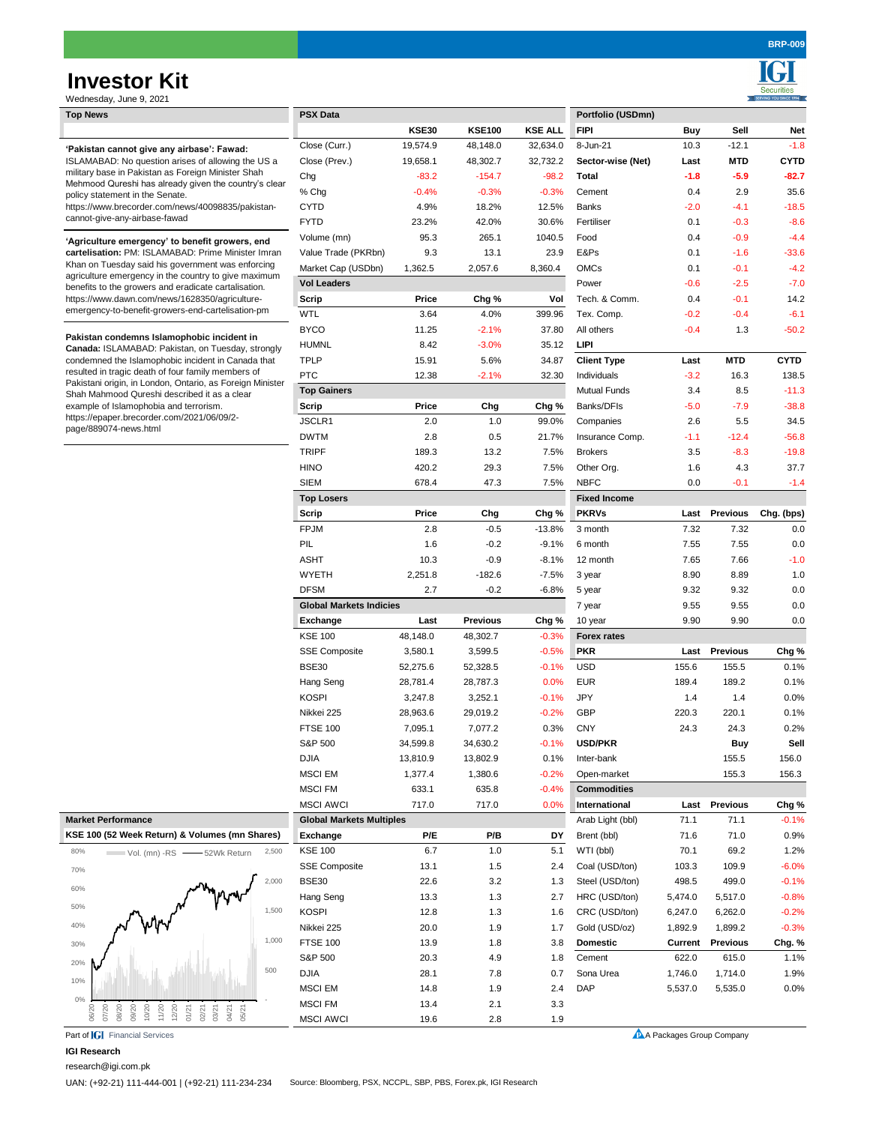# **Investor Kit**

| Wednesday, June 9, 2021                                                                                                                                                                                                                                                                                                  |                                 |              |                 |                |                     |                |                 | ---------<br>SERVING YOU SINCE 1994 |
|--------------------------------------------------------------------------------------------------------------------------------------------------------------------------------------------------------------------------------------------------------------------------------------------------------------------------|---------------------------------|--------------|-----------------|----------------|---------------------|----------------|-----------------|-------------------------------------|
| <b>Top News</b>                                                                                                                                                                                                                                                                                                          | <b>PSX Data</b>                 |              |                 |                | Portfolio (USDmn)   |                |                 |                                     |
|                                                                                                                                                                                                                                                                                                                          |                                 | <b>KSE30</b> | <b>KSE100</b>   | <b>KSE ALL</b> | <b>FIPI</b>         | <b>Buy</b>     | Sell            | <b>Net</b>                          |
| 'Pakistan cannot give any airbase': Fawad:<br>ISLAMABAD: No question arises of allowing the US a                                                                                                                                                                                                                         | Close (Curr.)                   | 19,574.9     | 48,148.0        | 32,634.0       | 8-Jun-21            | 10.3           | $-12.1$         | $-1.8$                              |
|                                                                                                                                                                                                                                                                                                                          | Close (Prev.)                   | 19,658.1     | 48,302.7        | 32,732.2       | Sector-wise (Net)   | Last           | <b>MTD</b>      | <b>CYTD</b>                         |
| military base in Pakistan as Foreign Minister Shah                                                                                                                                                                                                                                                                       | Chg                             | $-83.2$      | $-154.7$        | $-98.2$        | <b>Total</b>        | $-1.8$         | $-5.9$          | $-82.7$                             |
| Mehmood Qureshi has already given the country's clear<br>policy statement in the Senate.                                                                                                                                                                                                                                 | % Chg                           | $-0.4%$      | $-0.3%$         | $-0.3%$        | Cement              | 0.4            | 2.9             | 35.6                                |
| https://www.brecorder.com/news/40098835/pakistan-                                                                                                                                                                                                                                                                        | <b>CYTD</b>                     | 4.9%         | 18.2%           | 12.5%          | <b>Banks</b>        | $-2.0$         | $-4.1$          | $-18.5$                             |
| cannot-give-any-airbase-fawad                                                                                                                                                                                                                                                                                            | <b>FYTD</b>                     | 23.2%        | 42.0%           | 30.6%          | Fertiliser          | 0.1            | $-0.3$          | $-8.6$                              |
|                                                                                                                                                                                                                                                                                                                          | Volume (mn)                     | 95.3         | 265.1           | 1040.5         | Food                | 0.4            | $-0.9$          | $-4.4$                              |
| 'Agriculture emergency' to benefit growers, end<br>cartelisation: PM: ISLAMABAD: Prime Minister Imran<br>Khan on Tuesday said his government was enforcing                                                                                                                                                               | Value Trade (PKRbn)             | 9.3          | 13.1            | 23.9           | E&Ps                | 0.1            | $-1.6$          | $-33.6$                             |
|                                                                                                                                                                                                                                                                                                                          | Market Cap (USDbn)              | 1,362.5      | 2,057.6         | 8,360.4        | <b>OMCs</b>         | 0.1            | $-0.1$          | $-4.2$                              |
| agriculture emergency in the country to give maximum                                                                                                                                                                                                                                                                     | <b>Vol Leaders</b>              |              |                 |                | Power               | $-0.6$         | $-2.5$          | $-7.0$                              |
| benefits to the growers and eradicate cartalisation.                                                                                                                                                                                                                                                                     |                                 |              |                 |                | Tech. & Comm.       |                |                 |                                     |
| https://www.dawn.com/news/1628350/agriculture-<br>emergency-to-benefit-growers-end-cartelisation-pm                                                                                                                                                                                                                      | <b>Scrip</b>                    | <b>Price</b> | Chg %           | Vol            |                     | 0.4            | $-0.1$          | 14.2                                |
|                                                                                                                                                                                                                                                                                                                          | <b>WTL</b>                      | 3.64         | 4.0%            | 399.96         | Tex. Comp.          | $-0.2$         | $-0.4$          | $-6.1$                              |
| Pakistan condemns Islamophobic incident in<br>Canada: ISLAMABAD: Pakistan, on Tuesday, strongly<br>condemned the Islamophobic incident in Canada that<br>resulted in tragic death of four family members of<br>Pakistani origin, in London, Ontario, as Foreign Minister<br>Shah Mahmood Qureshi described it as a clear | <b>BYCO</b>                     | 11.25        | $-2.1%$         | 37.80          | All others          | $-0.4$         | 1.3             | $-50.2$                             |
|                                                                                                                                                                                                                                                                                                                          | <b>HUMNL</b>                    | 8.42         | $-3.0%$         | 35.12          | <b>LIPI</b>         |                |                 |                                     |
|                                                                                                                                                                                                                                                                                                                          | <b>TPLP</b>                     | 15.91        | 5.6%            | 34.87          | <b>Client Type</b>  | Last           | <b>MTD</b>      | <b>CYTD</b>                         |
|                                                                                                                                                                                                                                                                                                                          | <b>PTC</b>                      | 12.38        | $-2.1%$         | 32.30          | Individuals         | $-3.2$         | 16.3            | 138.5                               |
|                                                                                                                                                                                                                                                                                                                          | <b>Top Gainers</b>              |              |                 |                | Mutual Funds        | 3.4            | 8.5             | $-11.3$                             |
| example of Islamophobia and terrorism.                                                                                                                                                                                                                                                                                   | <b>Scrip</b>                    | <b>Price</b> | Chg             | Chg %          | Banks/DFIs          | $-5.0$         | $-7.9$          | $-38.8$                             |
| https://epaper.brecorder.com/2021/06/09/2-                                                                                                                                                                                                                                                                               | JSCLR1                          | 2.0          | 1.0             | 99.0%          | Companies           | 2.6            | 5.5             | 34.5                                |
| page/889074-news.html                                                                                                                                                                                                                                                                                                    | <b>DWTM</b>                     | 2.8          | 0.5             | 21.7%          | Insurance Comp.     | $-1.1$         | $-12.4$         | $-56.8$                             |
|                                                                                                                                                                                                                                                                                                                          | <b>TRIPF</b>                    | 189.3        | 13.2            | 7.5%           | <b>Brokers</b>      | 3.5            | $-8.3$          | $-19.8$                             |
|                                                                                                                                                                                                                                                                                                                          | <b>HINO</b>                     | 420.2        | 29.3            | 7.5%           | Other Org.          | 1.6            | 4.3             | 37.7                                |
|                                                                                                                                                                                                                                                                                                                          | <b>SIEM</b>                     | 678.4        | 47.3            | 7.5%           | <b>NBFC</b>         | 0.0            | $-0.1$          | $-1.4$                              |
|                                                                                                                                                                                                                                                                                                                          | <b>Top Losers</b>               |              |                 |                | <b>Fixed Income</b> |                |                 |                                     |
|                                                                                                                                                                                                                                                                                                                          | <b>Scrip</b>                    | <b>Price</b> | Chg             | Chg %          | <b>PKRVs</b>        | Last           | <b>Previous</b> | Chg. (bps)                          |
|                                                                                                                                                                                                                                                                                                                          | <b>FPJM</b>                     | 2.8          | $-0.5$          | $-13.8%$       | 3 month             | 7.32           | 7.32            | 0.0                                 |
|                                                                                                                                                                                                                                                                                                                          | PIL                             | 1.6          | $-0.2$          | $-9.1%$        | 6 month             | 7.55           | 7.55            | 0.0                                 |
|                                                                                                                                                                                                                                                                                                                          | <b>ASHT</b>                     | 10.3         | $-0.9$          | $-8.1%$        | 12 month            | 7.65           | 7.66            | $-1.0$                              |
|                                                                                                                                                                                                                                                                                                                          | <b>WYETH</b>                    | 2,251.8      | $-182.6$        | $-7.5%$        | 3 year              | 8.90           | 8.89            | 1.0                                 |
|                                                                                                                                                                                                                                                                                                                          | <b>DFSM</b>                     | 2.7          |                 |                |                     |                |                 |                                     |
|                                                                                                                                                                                                                                                                                                                          |                                 |              | $-0.2$          | $-6.8%$        | 5 year              | 9.32           | 9.32            | 0.0                                 |
|                                                                                                                                                                                                                                                                                                                          | <b>Global Markets Indicies</b>  |              |                 |                | 7 year              | 9.55           | 9.55            | 0.0                                 |
|                                                                                                                                                                                                                                                                                                                          | <b>Exchange</b>                 | Last         | <b>Previous</b> | Chg %          | 10 year             | 9.90           | 9.90            | 0.0                                 |
|                                                                                                                                                                                                                                                                                                                          | <b>KSE 100</b>                  | 48,148.0     | 48,302.7        | $-0.3%$        | <b>Forex rates</b>  |                |                 |                                     |
|                                                                                                                                                                                                                                                                                                                          | <b>SSE Composite</b>            | 3,580.1      | 3,599.5         | $-0.5%$        | <b>PKR</b>          | Last           | <b>Previous</b> | Chg %                               |
|                                                                                                                                                                                                                                                                                                                          | <b>BSE30</b>                    | 52,275.6     | 52,328.5        | $-0.1%$        | <b>USD</b>          | 155.6          | 155.5           | 0.1%                                |
|                                                                                                                                                                                                                                                                                                                          | Hang Seng                       | 28,781.4     | 28,787.3        | 0.0%           | <b>EUR</b>          | 189.4          | 189.2           | 0.1%                                |
|                                                                                                                                                                                                                                                                                                                          | <b>KOSPI</b>                    | 3,247.8      | 3,252.1         | $-0.1%$        | <b>JPY</b>          | 1.4            | 1.4             | 0.0%                                |
|                                                                                                                                                                                                                                                                                                                          | Nikkei 225                      | 28,963.6     | 29,019.2        | $-0.2%$        | <b>GBP</b>          | 220.3          | 220.1           | 0.1%                                |
|                                                                                                                                                                                                                                                                                                                          | <b>FTSE 100</b>                 | 7,095.1      | 7,077.2         | 0.3%           | <b>CNY</b>          | 24.3           | 24.3            | 0.2%                                |
|                                                                                                                                                                                                                                                                                                                          | S&P 500                         | 34,599.8     | 34,630.2        | $-0.1%$        | <b>USD/PKR</b>      |                | <b>Buy</b>      | Sell                                |
|                                                                                                                                                                                                                                                                                                                          | <b>DJIA</b>                     | 13,810.9     | 13,802.9        | 0.1%           | Inter-bank          |                | 155.5           | 156.0                               |
|                                                                                                                                                                                                                                                                                                                          | <b>MSCI EM</b>                  | 1,377.4      | 1,380.6         | $-0.2%$        | Open-market         |                | 155.3           | 156.3                               |
|                                                                                                                                                                                                                                                                                                                          | <b>MSCI FM</b>                  | 633.1        | 635.8           | $-0.4%$        | <b>Commodities</b>  |                |                 |                                     |
|                                                                                                                                                                                                                                                                                                                          | <b>MSCI AWCI</b>                | 717.0        | 717.0           | 0.0%           | International       | Last           | <b>Previous</b> | Chg %                               |
| <b>Market Performance</b>                                                                                                                                                                                                                                                                                                | <b>Global Markets Multiples</b> |              |                 |                | Arab Light (bbl)    | 71.1           | 71.1            | $-0.1%$                             |
| KSE 100 (52 Week Return) & Volumes (mn Shares)                                                                                                                                                                                                                                                                           | <b>Exchange</b>                 | P/E          | P/B             | DY             | Brent (bbl)         | 71.6           | 71.0            | 0.9%                                |
|                                                                                                                                                                                                                                                                                                                          | <b>KSE 100</b>                  | 6.7          |                 | 5.1            |                     |                |                 |                                     |
| 80%<br>2,500<br>Vol. (mn) -RS - 52Wk Return                                                                                                                                                                                                                                                                              |                                 |              | $1.0$           |                | WTI (bbl)           | 70.1           | 69.2            | 1.2%                                |
| 70%                                                                                                                                                                                                                                                                                                                      | <b>SSE Composite</b>            | 13.1         | 1.5             | 2.4            | Coal (USD/ton)      | 103.3          | 109.9           | $-6.0%$                             |
| 2,000<br>60%                                                                                                                                                                                                                                                                                                             | <b>BSE30</b>                    | 22.6         | 3.2             | 1.3            | Steel (USD/ton)     | 498.5          | 499.0           | $-0.1%$                             |
| 50%                                                                                                                                                                                                                                                                                                                      | Hang Seng                       | 13.3         | 1.3             | 2.7            | HRC (USD/ton)       | 5,474.0        | 5,517.0         | $-0.8%$                             |
| 1,500                                                                                                                                                                                                                                                                                                                    | <b>KOSPI</b>                    | 12.8         | 1.3             | 1.6            | CRC (USD/ton)       | 6,247.0        | 6,262.0         | $-0.2%$                             |
| 40%                                                                                                                                                                                                                                                                                                                      | Nikkei 225                      | 20.0         | 1.9             | 1.7            | Gold (USD/oz)       | 1,892.9        | 1,899.2         | $-0.3%$                             |
| 1,000<br>$30\%$                                                                                                                                                                                                                                                                                                          | <b>FTSE 100</b>                 | 13.9         | 1.8             | 3.8            | <b>Domestic</b>     | <b>Current</b> | <b>Previous</b> | Chg. %                              |
| 20%                                                                                                                                                                                                                                                                                                                      | S&P 500                         | 20.3         | 4.9             | 1.8            | Cement              | 622.0          | 615.0           | 1.1%                                |
| 500                                                                                                                                                                                                                                                                                                                      | <b>DJIA</b>                     | 28.1         | 7.8             | 0.7            | Sona Urea           | 1,746.0        | 1,714.0         | 1.9%                                |
| 10%                                                                                                                                                                                                                                                                                                                      | <b>MSCI EM</b>                  | 14.8         | 1.9             | 2.4            | <b>DAP</b>          | 5,537.0        | 5,535.0         | 0.0%                                |
|                                                                                                                                                                                                                                                                                                                          | <b>MSCI FM</b>                  | 13.4         | 2.1             | $3.3\,$        |                     |                |                 |                                     |
| 0%<br>06/20<br>06/20<br>07/20<br>08/20<br>09/20<br>10/20<br>11/20<br>12/20<br>01/21<br>04/21<br>05/21<br>02/21<br>03/21                                                                                                                                                                                                  | <b>MSCI AWCI</b>                | 19.6         | 2.8             | 1.9            |                     |                |                 |                                     |

### **IGI Research**

[research@igi.com.pk](mailto:research@igi.com.pk)

Part of  $\boxed{G}$  Financial Services **A** Packages Group Company